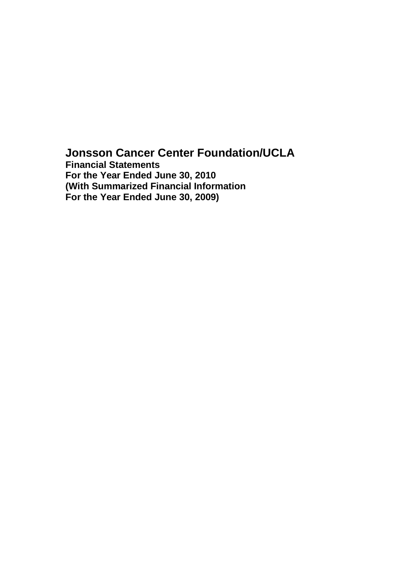## **Jonsson Cancer Center Foundation/UCLA Financial Statements**

**For the Year Ended June 30, 2010 (With Summarized Financial Information For the Year Ended June 30, 2009)**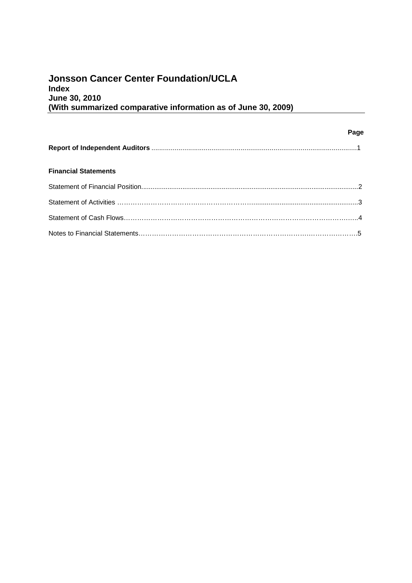## **Jonsson Cancer Center Foundation/UCLA Index June 30, 2010 (With summarized comparative information as of June 30, 2009)**

|                             | Page |
|-----------------------------|------|
|                             |      |
| <b>Financial Statements</b> |      |
|                             |      |
|                             |      |
|                             |      |
|                             |      |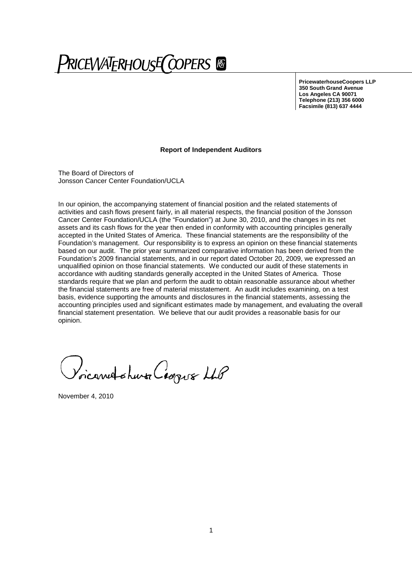# PRICEWATERHOUSE COPERS ®

**PricewaterhouseCoopers LLP 350 South Grand Avenue Los Angeles CA 90071 Telephone (213) 356 6000 Facsimile (813) 637 4444**

#### **Report of Independent Auditors**

The Board of Directors of Jonsson Cancer Center Foundation/UCLA

In our opinion, the accompanying statement of financial position and the related statements of activities and cash flows present fairly, in all material respects, the financial position of the Jonsson Cancer Center Foundation/UCLA (the "Foundation") at June 30, 2010, and the changes in its net assets and its cash flows for the year then ended in conformity with accounting principles generally accepted in the United States of America. These financial statements are the responsibility of the Foundation's management. Our responsibility is to express an opinion on these financial statements based on our audit. The prior year summarized comparative information has been derived from the Foundation's 2009 financial statements, and in our report dated October 20, 2009, we expressed an unqualified opinion on those financial statements. We conducted our audit of these statements in accordance with auditing standards generally accepted in the United States of America. Those standards require that we plan and perform the audit to obtain reasonable assurance about whether the financial statements are free of material misstatement. An audit includes examining, on a test basis, evidence supporting the amounts and disclosures in the financial statements, assessing the accounting principles used and significant estimates made by management, and evaluating the overall financial statement presentation. We believe that our audit provides a reasonable basis for our opinion.

ricarred others Coopus LLP

November 4, 2010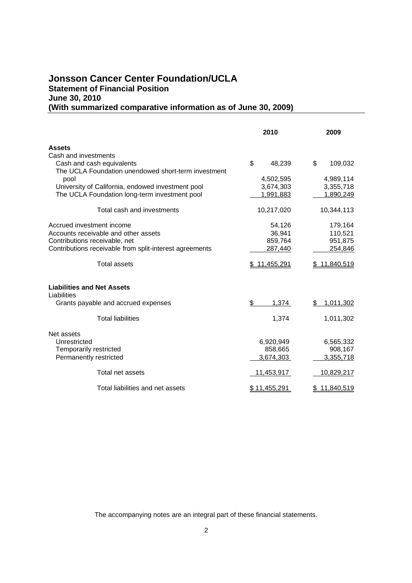## **Jonsson Cancer Center Foundation/UCLA Statement of Financial Position June 30, 2010 (With summarized comparative information as of June 30, 2009)**

|                                                         | 2010         | 2009            |
|---------------------------------------------------------|--------------|-----------------|
| <b>Assets</b>                                           |              |                 |
| Cash and investments                                    |              |                 |
| Cash and cash equivalents                               | \$<br>48,239 | \$<br>109,032   |
| The UCLA Foundation unendowed short-term investment     |              |                 |
| pool                                                    | 4,502,595    | 4,989,114       |
| University of California, endowed investment pool       | 3,674,303    | 3,355,718       |
| The UCLA Foundation long-term investment pool           | 1,991,883    | 1,890,249       |
| Total cash and investments                              | 10,217,020   | 10,344,113      |
| Accrued investment income                               | 54,126       | 179,164         |
| Accounts receivable and other assets                    | 36,941       | 110,521         |
| Contributions receivable, net                           | 859,764      | 951,875         |
| Contributions receivable from split-interest agreements | 287,440      | 254,846         |
| <b>Total assets</b>                                     | \$11,455,291 | \$11,840,519    |
| <b>Liabilities and Net Assets</b>                       |              |                 |
| Liabilities<br>Grants payable and accrued expenses      | \$<br>1,374  | \$<br>1,011,302 |
|                                                         |              |                 |
| <b>Total liabilities</b>                                | 1,374        | 1,011,302       |
| Net assets                                              |              |                 |
| Unrestricted                                            | 6,920,949    | 6,565,332       |
| Temporarily restricted                                  | 858,665      | 908,167         |
| Permanently restricted                                  | 3,674,303    | 3,355,718       |
| Total net assets                                        | 11,453,917   | 10,829,217      |
| Total liabilities and net assets                        | \$11,455,291 | \$11,840,519    |

The accompanying notes are an integral part of these financial statements.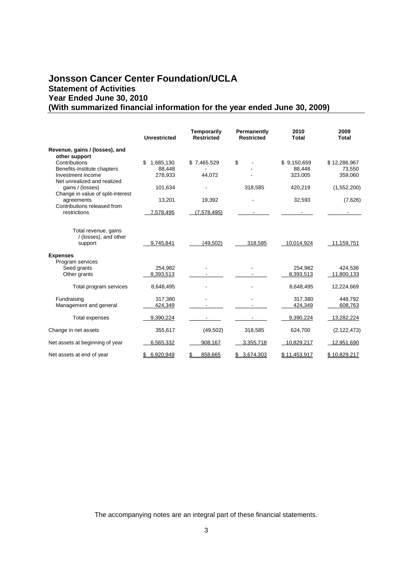## **Jonsson Cancer Center Foundation/UCLA Statement of Activities Year Ended June 30, 2010 (With summarized financial information for the year ended June 30, 2009)**

|                                                                                    | <b>Unrestricted</b>                  | Temporarily<br><b>Restricted</b> | Permanently<br><b>Restricted</b> | 2010<br>Total                    | 2009<br>Total                     |
|------------------------------------------------------------------------------------|--------------------------------------|----------------------------------|----------------------------------|----------------------------------|-----------------------------------|
| Revenue, gains / (losses), and                                                     |                                      |                                  |                                  |                                  |                                   |
| other support<br>Contributions<br>Benefits-Institute chapters<br>Investment income | \$<br>1.685.130<br>88,448<br>278,933 | \$7,465,529<br>44,072            | \$                               | \$9.150.659<br>88.448<br>323,005 | \$12,286,967<br>73,550<br>359,060 |
| Net unrealized and realized<br>gains / (losses)                                    | 101,634                              |                                  | 318,585                          | 420,219                          | (1,552,200)                       |
| Change in value of split-interest<br>agreements<br>Contributions released from     | 13,201                               | 19,392                           |                                  | 32,593                           | (7,626)                           |
| restrictions                                                                       | 7,578,495                            | (7,578,495)                      |                                  |                                  |                                   |
| Total revenue, gains<br>/ (losses), and other<br>support<br><b>Expenses</b>        | 9.745.841                            | (49, 502)                        | 318,585                          | 10,014,924                       | 11,159,751                        |
| Program services<br>Seed grants<br>Other grants                                    | 254,982<br>8,393,513                 |                                  |                                  | 254,982<br>8,393,513             | 424,536<br>11,800,133             |
| Total program services                                                             | 8,648,495                            |                                  |                                  | 8,648,495                        | 12,224,669                        |
| Fundraising<br>Management and general                                              | 317,380<br>424,349                   |                                  |                                  | 317,380<br>424,349               | 448.792<br>608,763                |
| <b>Total expenses</b>                                                              | 9,390,224                            |                                  |                                  | 9,390,224                        | 13,282,224                        |
| Change in net assets                                                               | 355,617                              | (49, 502)                        | 318,585                          | 624,700                          | (2, 122, 473)                     |
| Net assets at beginning of year                                                    | 6,565,332                            | 908,167                          | 3,355,718                        | 10,829,217                       | 12,951,690                        |
| Net assets at end of year                                                          | 6.920.949                            | 858.665                          | \$3,674,303                      | \$11,453,917                     | \$10,829,217                      |

The accompanying notes are an integral part of these financial statements.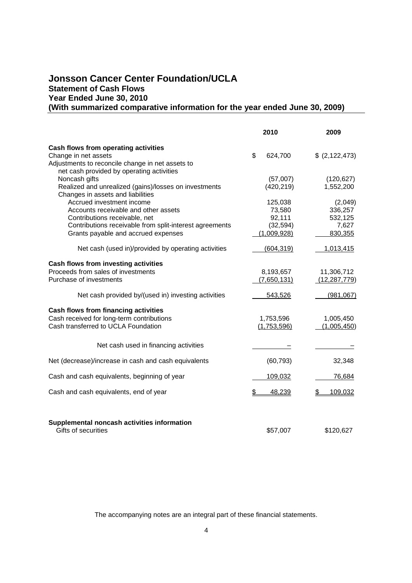## **Jonsson Cancer Center Foundation/UCLA Statement of Cash Flows Year Ended June 30, 2010 (With summarized comparative information for the year ended June 30, 2009)**

|                                                                    | 2010          | 2009             |
|--------------------------------------------------------------------|---------------|------------------|
| Cash flows from operating activities                               |               |                  |
| Change in net assets                                               | \$<br>624,700 | \$ (2, 122, 473) |
| Adjustments to reconcile change in net assets to                   |               |                  |
| net cash provided by operating activities                          |               |                  |
| Noncash gifts                                                      | (57,007)      | (120, 627)       |
| Realized and unrealized (gains)/losses on investments              | (420, 219)    | 1,552,200        |
| Changes in assets and liabilities                                  |               |                  |
| Accrued investment income                                          | 125,038       | (2,049)          |
| Accounts receivable and other assets                               | 73,580        | 336,257          |
| Contributions receivable, net                                      | 92,111        | 532,125          |
| Contributions receivable from split-interest agreements            | (32, 594)     | 7,627            |
| Grants payable and accrued expenses                                | (1,009,928)   | 830,355          |
| Net cash (used in)/provided by operating activities                | (604, 319)    | 1,013,415        |
| Cash flows from investing activities                               |               |                  |
| Proceeds from sales of investments                                 | 8,193,657     | 11,306,712       |
| Purchase of investments                                            | (7,650,131)   | (12, 287, 779)   |
| Net cash provided by/(used in) investing activities                | 543,526       | (981,067)        |
| Cash flows from financing activities                               |               |                  |
| Cash received for long-term contributions                          | 1,753,596     | 1,005,450        |
| Cash transferred to UCLA Foundation                                | (1,753,596)   | (1,005,450)      |
|                                                                    |               |                  |
| Net cash used in financing activities                              |               |                  |
| Net (decrease)/increase in cash and cash equivalents               | (60, 793)     | 32,348           |
| Cash and cash equivalents, beginning of year                       | 109,032       | 76,684           |
|                                                                    |               |                  |
| Cash and cash equivalents, end of year                             | 48,239<br>\$  | 109,032          |
|                                                                    |               |                  |
| Supplemental noncash activities information<br>Gifts of securities | \$57,007      | \$120,627        |

The accompanying notes are an integral part of these financial statements.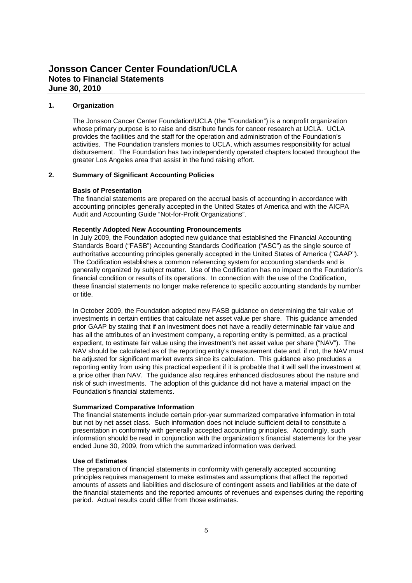#### **1. Organization**

The Jonsson Cancer Center Foundation/UCLA (the "Foundation") is a nonprofit organization whose primary purpose is to raise and distribute funds for cancer research at UCLA. UCLA provides the facilities and the staff for the operation and administration of the Foundation's activities. The Foundation transfers monies to UCLA, which assumes responsibility for actual disbursement. The Foundation has two independently operated chapters located throughout the greater Los Angeles area that assist in the fund raising effort.

#### **2. Summary of Significant Accounting Policies**

#### **Basis of Presentation**

The financial statements are prepared on the accrual basis of accounting in accordance with accounting principles generally accepted in the United States of America and with the AICPA Audit and Accounting Guide "Not-for-Profit Organizations".

#### **Recently Adopted New Accounting Pronouncements**

In July 2009, the Foundation adopted new guidance that established the Financial Accounting Standards Board ("FASB") Accounting Standards Codification ("ASC") as the single source of authoritative accounting principles generally accepted in the United States of America ("GAAP"). The Codification establishes a common referencing system for accounting standards and is generally organized by subject matter. Use of the Codification has no impact on the Foundation's financial condition or results of its operations. In connection with the use of the Codification, these financial statements no longer make reference to specific accounting standards by number or title.

In October 2009, the Foundation adopted new FASB guidance on determining the fair value of investments in certain entities that calculate net asset value per share. This guidance amended prior GAAP by stating that if an investment does not have a readily determinable fair value and has all the attributes of an investment company, a reporting entity is permitted, as a practical expedient, to estimate fair value using the investment's net asset value per share ("NAV"). The NAV should be calculated as of the reporting entity's measurement date and, if not, the NAV must be adjusted for significant market events since its calculation. This guidance also precludes a reporting entity from using this practical expedient if it is probable that it will sell the investment at a price other than NAV. The guidance also requires enhanced disclosures about the nature and risk of such investments. The adoption of this guidance did not have a material impact on the Foundation's financial statements.

#### **Summarized Comparative Information**

The financial statements include certain prior-year summarized comparative information in total but not by net asset class. Such information does not include sufficient detail to constitute a presentation in conformity with generally accepted accounting principles. Accordingly, such information should be read in conjunction with the organization's financial statements for the year ended June 30, 2009, from which the summarized information was derived.

#### **Use of Estimates**

The preparation of financial statements in conformity with generally accepted accounting principles requires management to make estimates and assumptions that affect the reported amounts of assets and liabilities and disclosure of contingent assets and liabilities at the date of the financial statements and the reported amounts of revenues and expenses during the reporting period. Actual results could differ from those estimates.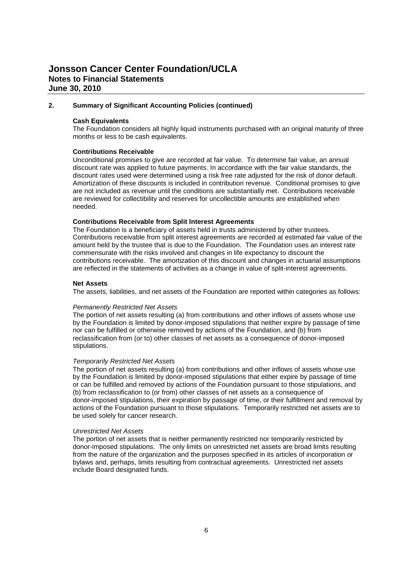## **Jonsson Cancer Center Foundation/UCLA Notes to Financial Statements June 30, 2010**

#### **2. Summary of Significant Accounting Policies (continued)**

#### **Cash Equivalents**

The Foundation considers all highly liquid instruments purchased with an original maturity of three months or less to be cash equivalents.

#### **Contributions Receivable**

Unconditional promises to give are recorded at fair value. To determine fair value, an annual discount rate was applied to future payments. In accordance with the fair value standards, the discount rates used were determined using a risk free rate adjusted for the risk of donor default. Amortization of these discounts is included in contribution revenue. Conditional promises to give are not included as revenue until the conditions are substantially met. Contributions receivable are reviewed for collectibility and reserves for uncollectible amounts are established when needed.

#### **Contributions Receivable from Split Interest Agreements**

The Foundation is a beneficiary of assets held in trusts administered by other trustees. Contributions receivable from split interest agreements are recorded at estimated fair value of the amount held by the trustee that is due to the Foundation. The Foundation uses an interest rate commensurate with the risks involved and changes in life expectancy to discount the contributions receivable. The amortization of this discount and changes in actuarial assumptions are reflected in the statements of activities as a change in value of split-interest agreements.

#### **Net Assets**

The assets, liabilities, and net assets of the Foundation are reported within categories as follows:

#### *Permanently Restricted Net Assets*

The portion of net assets resulting (a) from contributions and other inflows of assets whose use by the Foundation is limited by donor-imposed stipulations that neither expire by passage of time nor can be fulfilled or otherwise removed by actions of the Foundation, and (b) from reclassification from (or to) other classes of net assets as a consequence of donor-imposed stipulations.

#### *Temporarily Restricted Net Assets*

The portion of net assets resulting (a) from contributions and other inflows of assets whose use by the Foundation is limited by donor-imposed stipulations that either expire by passage of time or can be fulfilled and removed by actions of the Foundation pursuant to those stipulations, and (b) from reclassification to (or from) other classes of net assets as a consequence of donor-imposed stipulations, their expiration by passage of time, or their fulfillment and removal by actions of the Foundation pursuant to those stipulations. Temporarily restricted net assets are to be used solely for cancer research.

#### *Unrestricted Net Assets*

The portion of net assets that is neither permanently restricted nor temporarily restricted by donor-imposed stipulations. The only limits on unrestricted net assets are broad limits resulting from the nature of the organization and the purposes specified in its articles of incorporation or bylaws and, perhaps, limits resulting from contractual agreements. Unrestricted net assets include Board designated funds.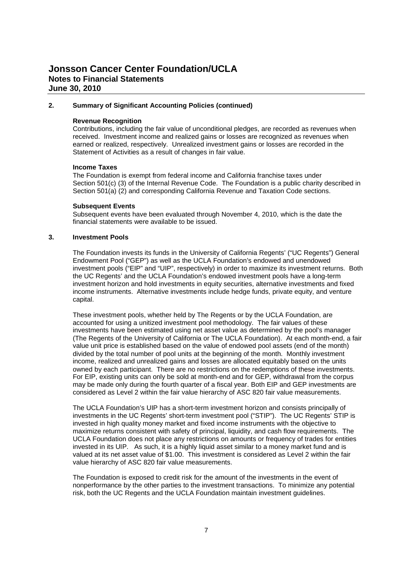## **Jonsson Cancer Center Foundation/UCLA Notes to Financial Statements June 30, 2010**

#### **2. Summary of Significant Accounting Policies (continued)**

#### **Revenue Recognition**

Contributions, including the fair value of unconditional pledges, are recorded as revenues when received. Investment income and realized gains or losses are recognized as revenues when earned or realized, respectively. Unrealized investment gains or losses are recorded in the Statement of Activities as a result of changes in fair value.

#### **Income Taxes**

The Foundation is exempt from federal income and California franchise taxes under Section 501(c) (3) of the Internal Revenue Code. The Foundation is a public charity described in Section 501(a) (2) and corresponding California Revenue and Taxation Code sections.

#### **Subsequent Events**

Subsequent events have been evaluated through November 4, 2010, which is the date the financial statements were available to be issued.

#### **3. Investment Pools**

The Foundation invests its funds in the University of California Regents' ("UC Regents") General Endowment Pool ("GEP") as well as the UCLA Foundation's endowed and unendowed investment pools ("EIP" and "UIP", respectively) in order to maximize its investment returns. Both the UC Regents' and the UCLA Foundation's endowed investment pools have a long-term investment horizon and hold investments in equity securities, alternative investments and fixed income instruments. Alternative investments include hedge funds, private equity, and venture capital.

These investment pools, whether held by The Regents or by the UCLA Foundation, are accounted for using a unitized investment pool methodology. The fair values of these investments have been estimated using net asset value as determined by the pool's manager (The Regents of the University of California or The UCLA Foundation). At each month-end, a fair value unit price is established based on the value of endowed pool assets (end of the month) divided by the total number of pool units at the beginning of the month. Monthly investment income, realized and unrealized gains and losses are allocated equitably based on the units owned by each participant. There are no restrictions on the redemptions of these investments. For EIP, existing units can only be sold at month-end and for GEP, withdrawal from the corpus may be made only during the fourth quarter of a fiscal year. Both EIP and GEP investments are considered as Level 2 within the fair value hierarchy of ASC 820 fair value measurements.

The UCLA Foundation's UIP has a short-term investment horizon and consists principally of investments in the UC Regents' short-term investment pool ("STIP"). The UC Regents' STIP is invested in high quality money market and fixed income instruments with the objective to maximize returns consistent with safety of principal, liquidity, and cash flow requirements. The UCLA Foundation does not place any restrictions on amounts or frequency of trades for entities invested in its UIP. As such, it is a highly liquid asset similar to a money market fund and is valued at its net asset value of \$1.00. This investment is considered as Level 2 within the fair value hierarchy of ASC 820 fair value measurements.

The Foundation is exposed to credit risk for the amount of the investments in the event of nonperformance by the other parties to the investment transactions. To minimize any potential risk, both the UC Regents and the UCLA Foundation maintain investment guidelines.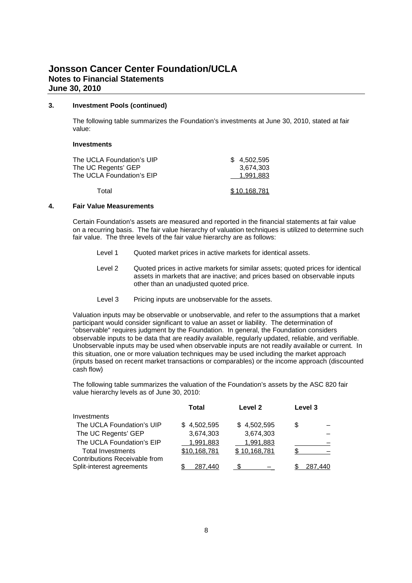#### **3. Investment Pools (continued)**

The following table summarizes the Foundation's investments at June 30, 2010, stated at fair value:

#### **Investments**

| The UCLA Foundation's UIP | \$4.502.595  |
|---------------------------|--------------|
| The UC Regents' GEP       | 3,674,303    |
| The UCLA Foundation's EIP | 1.991.883    |
| Total                     | \$10,168,781 |

#### **4. Fair Value Measurements**

Certain Foundation's assets are measured and reported in the financial statements at fair value on a recurring basis. The fair value hierarchy of valuation techniques is utilized to determine such fair value. The three levels of the fair value hierarchy are as follows:

- Level 1 Quoted market prices in active markets for identical assets.
- Level 2 Quoted prices in active markets for similar assets; quoted prices for identical assets in markets that are inactive; and prices based on observable inputs other than an unadjusted quoted price.
- Level 3 Pricing inputs are unobservable for the assets.

Valuation inputs may be observable or unobservable, and refer to the assumptions that a market participant would consider significant to value an asset or liability. The determination of "observable" requires judgment by the Foundation. In general, the Foundation considers observable inputs to be data that are readily available, regularly updated, reliable, and verifiable. Unobservable inputs may be used when observable inputs are not readily available or current. In this situation, one or more valuation techniques may be used including the market approach (inputs based on recent market transactions or comparables) or the income approach (discounted cash flow)

The following table summarizes the valuation of the Foundation's assets by the ASC 820 fair value hierarchy levels as of June 30, 2010:

|                               | Total        | Level <sub>2</sub> | Level 3 |
|-------------------------------|--------------|--------------------|---------|
| Investments                   |              |                    |         |
| The UCLA Foundation's UIP     | \$4,502,595  | \$4,502,595        | \$      |
| The UC Regents' GEP           | 3,674,303    | 3,674,303          |         |
| The UCLA Foundation's EIP     | 1,991,883    | 1,991,883          |         |
| <b>Total Investments</b>      | \$10,168,781 | \$10,168,781       |         |
| Contributions Receivable from |              |                    |         |
| Split-interest agreements     | 287.440      |                    | 287.440 |